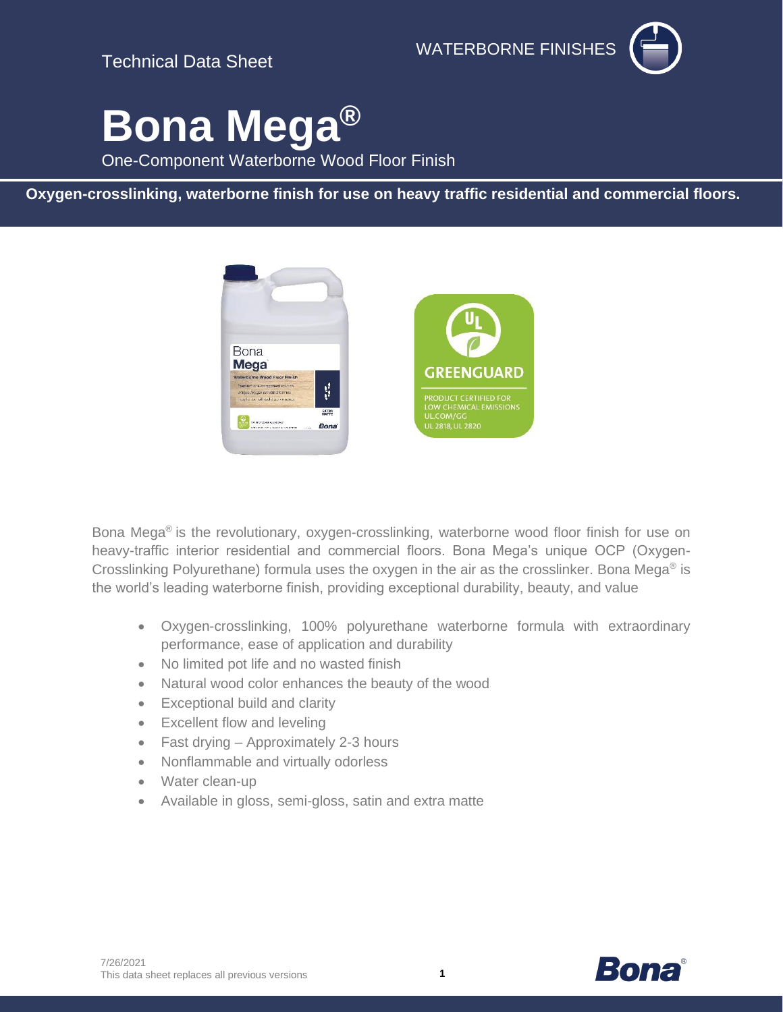Technical Data Sheet

WATERBORNE FINISHES



# **Bona Mega®**

One-Component Waterborne Wood Floor Finish

**Oxygen-crosslinking, waterborne finish for use on heavy traffic residential and commercial floors.**



Bona Mega® is the revolutionary, oxygen-crosslinking, waterborne wood floor finish for use on heavy-traffic interior residential and commercial floors. Bona Mega's unique OCP (Oxygen-Crosslinking Polyurethane) formula uses the oxygen in the air as the crosslinker. Bona Mega® is the world's leading waterborne finish, providing exceptional durability, beauty, and value

- Oxygen-crosslinking, 100% polyurethane waterborne formula with extraordinary performance, ease of application and durability
- No limited pot life and no wasted finish
- Natural wood color enhances the beauty of the wood
- Exceptional build and clarity
- Excellent flow and leveling
- Fast drying Approximately 2-3 hours
- Nonflammable and virtually odorless
- Water clean-up
- Available in gloss, semi-gloss, satin and extra matte





**1**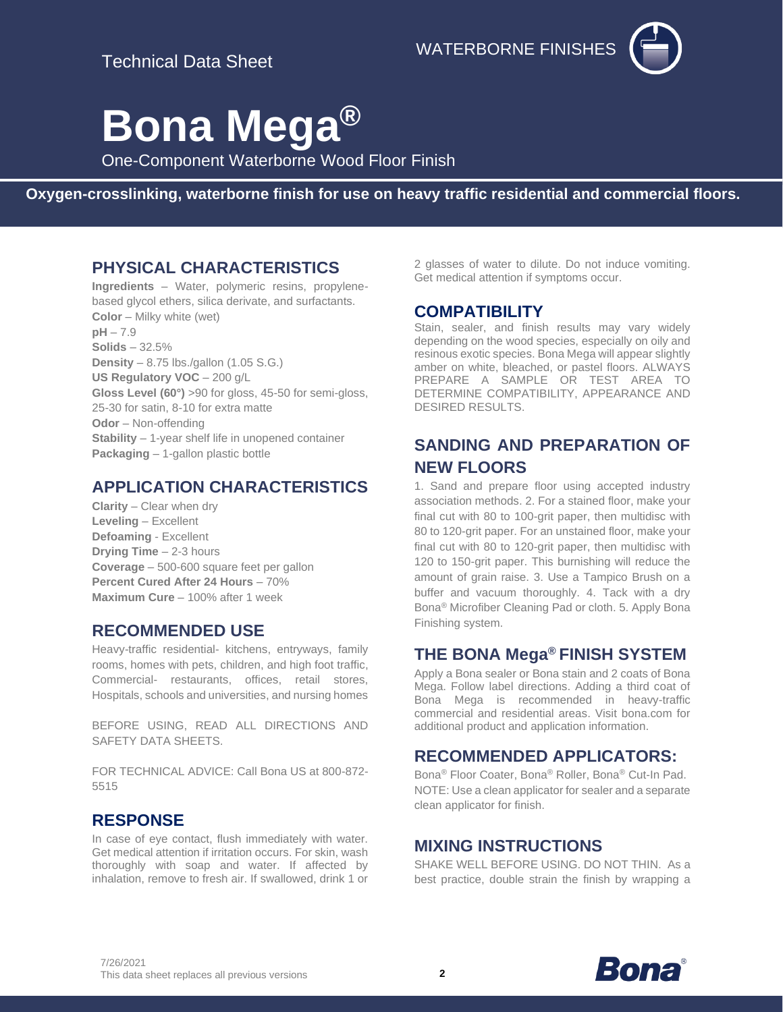WATERBORNE FINISHES



# **Bona Mega®**

One-Component Waterborne Wood Floor Finish

**Oxygen-crosslinking, waterborne finish for use on heavy traffic residential and commercial floors.**

## **PHYSICAL CHARACTERISTICS**

**Ingredients** – Water, polymeric resins, propylenebased glycol ethers, silica derivate, and surfactants. **Color** – Milky white (wet) **pH** – 7.9 **Solids** – 32.5% **Density** – 8.75 lbs./gallon (1.05 S.G.) **US Regulatory VOC** – 200 g/L **Gloss Level (60°)** >90 for gloss, 45-50 for semi-gloss, 25-30 for satin, 8-10 for extra matte **Odor** – Non-offending **Stability** – 1-year shelf life in unopened container **Packaging** – 1-gallon plastic bottle

# **APPLICATION CHARACTERISTICS**

**Clarity** – Clear when dry **Leveling** – Excellent **Defoaming** - Excellent **Drying Time** – 2-3 hours **Coverage** – 500-600 square feet per gallon **Percent Cured After 24 Hours** – 70% **Maximum Cure** – 100% after 1 week

#### **RECOMMENDED USE**

Heavy-traffic residential- kitchens, entryways, family rooms, homes with pets, children, and high foot traffic, Commercial- restaurants, offices, retail stores, Hospitals, schools and universities, and nursing homes

BEFORE USING, READ ALL DIRECTIONS AND SAFETY DATA SHEETS.

FOR TECHNICAL ADVICE: Call Bona US at 800-872- 5515

## **RESPONSE**

In case of eye contact, flush immediately with water. Get medical attention if irritation occurs. For skin, wash thoroughly with soap and water. If affected by inhalation, remove to fresh air. If swallowed, drink 1 or 2 glasses of water to dilute. Do not induce vomiting. Get medical attention if symptoms occur.

# **COMPATIBILITY**

Stain, sealer, and finish results may vary widely depending on the wood species, especially on oily and resinous exotic species. Bona Mega will appear slightly amber on white, bleached, or pastel floors. ALWAYS PREPARE A SAMPLE OR TEST AREA TO DETERMINE COMPATIBILITY, APPEARANCE AND DESIRED RESULTS.

# **SANDING AND PREPARATION OF NEW FLOORS**

1. Sand and prepare floor using accepted industry association methods. 2. For a stained floor, make your final cut with 80 to 100-grit paper, then multidisc with 80 to 120-grit paper. For an unstained floor, make your final cut with 80 to 120-grit paper, then multidisc with 120 to 150-grit paper. This burnishing will reduce the amount of grain raise. 3. Use a Tampico Brush on a buffer and vacuum thoroughly. 4. Tack with a dry Bona ® Microfiber Cleaning Pad or cloth. 5. Apply Bona Finishing system.

# **THE BONA Mega® FINISH SYSTEM**

Apply a Bona sealer or Bona stain and 2 coats of Bona Mega. Follow label directions. Adding a third coat of Bona Mega is recommended in heavy-traffic commercial and residential areas. Visit bona.com for additional product and application information.

## **RECOMMENDED APPLICATORS:**

Bona® Floor Coater, Bona® Roller, Bona® Cut-In Pad. NOTE: Use a clean applicator for sealer and a separate clean applicator for finish.

## **MIXING INSTRUCTIONS**

SHAKE WELL BEFORE USING. DO NOT THIN. As a best practice, double strain the finish by wrapping a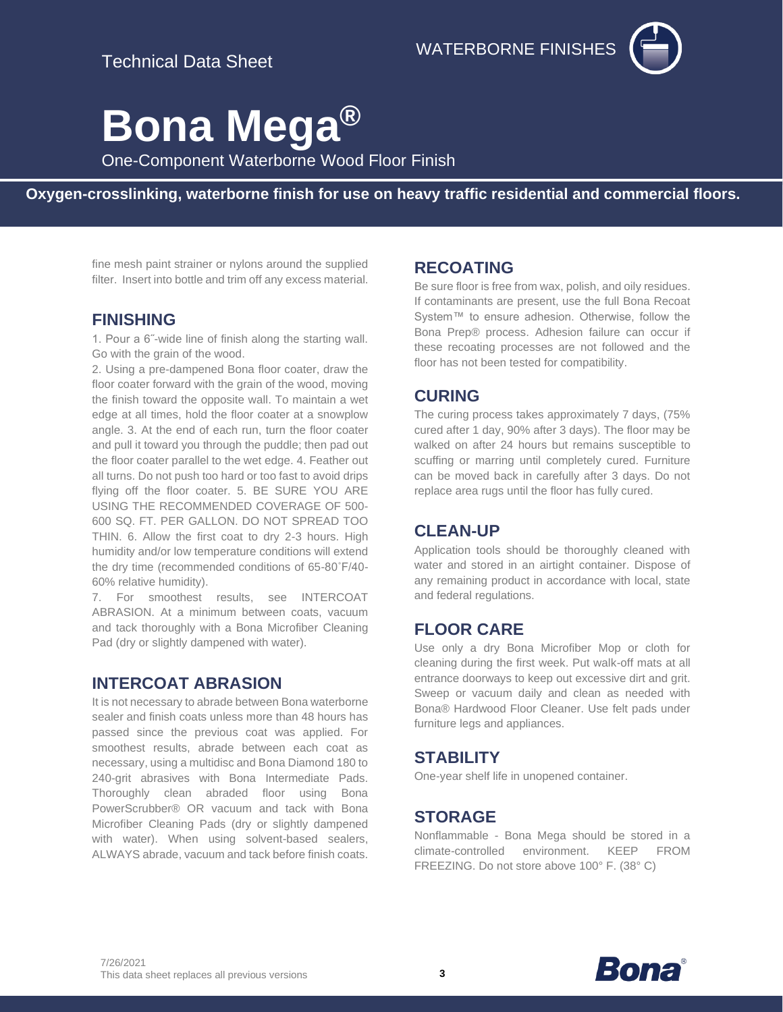

# **Bona Mega®**

One-Component Waterborne Wood Floor Finish

**Oxygen-crosslinking, waterborne finish for use on heavy traffic residential and commercial floors.**

fine mesh paint strainer or nylons around the supplied filter. Insert into bottle and trim off any excess material.

#### **FINISHING**

1. Pour a 6˝-wide line of finish along the starting wall. Go with the grain of the wood.

2. Using a pre-dampened Bona floor coater, draw the floor coater forward with the grain of the wood, moving the finish toward the opposite wall. To maintain a wet edge at all times, hold the floor coater at a snowplow angle. 3. At the end of each run, turn the floor coater and pull it toward you through the puddle; then pad out the floor coater parallel to the wet edge. 4. Feather out all turns. Do not push too hard or too fast to avoid drips flying off the floor coater. 5. BE SURE YOU ARE USING THE RECOMMENDED COVERAGE OF 500- 600 SQ. FT. PER GALLON. DO NOT SPREAD TOO THIN. 6. Allow the first coat to dry 2-3 hours. High humidity and/or low temperature conditions will extend the dry time (recommended conditions of 65-80˚F/40- 60% relative humidity).

7. For smoothest results, see INTERCOAT ABRASION. At a minimum between coats, vacuum and tack thoroughly with a Bona Microfiber Cleaning Pad (dry or slightly dampened with water).

#### **INTERCOAT ABRASION**

It is not necessary to abrade between Bona waterborne sealer and finish coats unless more than 48 hours has passed since the previous coat was applied. For smoothest results, abrade between each coat as necessary, using a multidisc and Bona Diamond 180 to 240-grit abrasives with Bona Intermediate Pads. Thoroughly clean abraded floor using Bona PowerScrubber® OR vacuum and tack with Bona Microfiber Cleaning Pads (dry or slightly dampened with water). When using solvent-based sealers, ALWAYS abrade, vacuum and tack before finish coats.

#### **RECOATING**

Be sure floor is free from wax, polish, and oily residues. If contaminants are present, use the full Bona Recoat System™ to ensure adhesion. Otherwise, follow the Bona Prep® process. Adhesion failure can occur if these recoating processes are not followed and the floor has not been tested for compatibility.

## **CURING**

The curing process takes approximately 7 days, (75% cured after 1 day, 90% after 3 days). The floor may be walked on after 24 hours but remains susceptible to scuffing or marring until completely cured. Furniture can be moved back in carefully after 3 days. Do not replace area rugs until the floor has fully cured.

## **CLEAN-UP**

Application tools should be thoroughly cleaned with water and stored in an airtight container. Dispose of any remaining product in accordance with local, state and federal regulations.

## **FLOOR CARE**

Use only a dry Bona Microfiber Mop or cloth for cleaning during the first week. Put walk-off mats at all entrance doorways to keep out excessive dirt and grit. Sweep or vacuum daily and clean as needed with Bona® Hardwood Floor Cleaner. Use felt pads under furniture legs and appliances.

## **STABILITY**

One-year shelf life in unopened container.

# **STORAGE**

Nonflammable - Bona Mega should be stored in a climate-controlled environment. KEEP FROM FREEZING. Do not store above 100° F. (38° C)